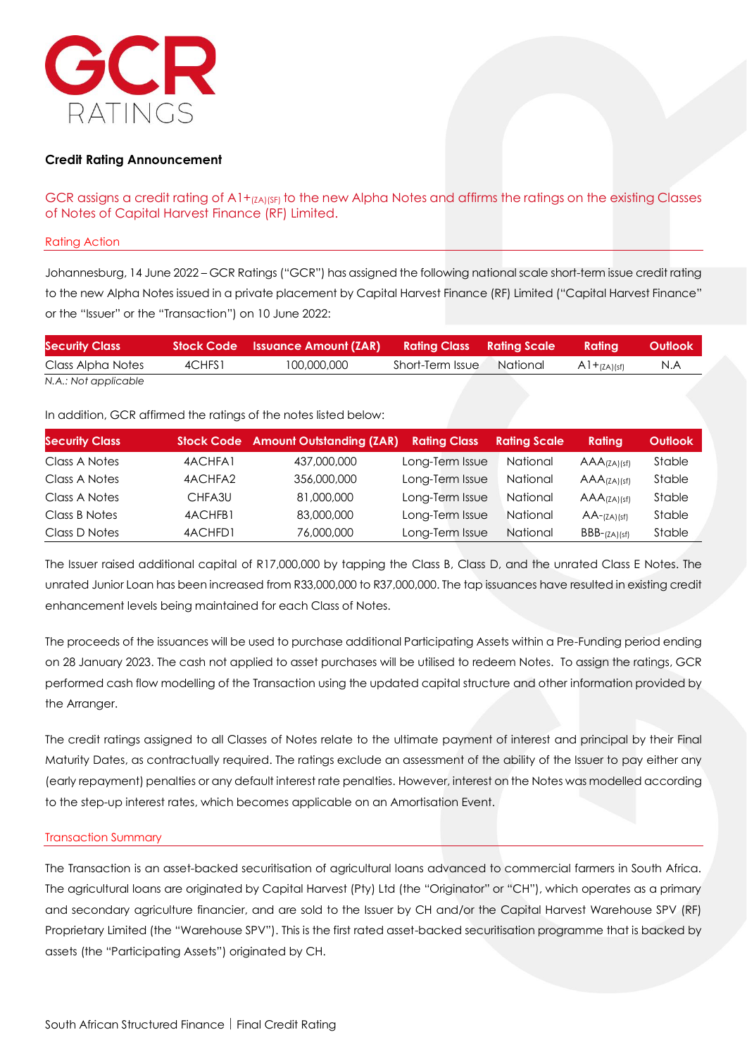

# **Credit Rating Announcement**

GCR assigns a credit rating of A1+(ZA)(SF) to the new Alpha Notes and affirms the ratings on the existing Classes of Notes of Capital Harvest Finance (RF) Limited.

#### Rating Action

Johannesburg, 14 June 2022 – GCR Ratings ("GCR") has assigned the following national scale short-term issue credit rating to the new Alpha Notes issued in a private placement by Capital Harvest Finance (RF) Limited ("Capital Harvest Finance" or the "Issuer" or the "Transaction") on 10 June 2022:

| <b>Security Class</b> |        | 'Stock Code     Issuance Amount (ZAR)       Rating Class     Rating Scale |                  |          | Ratina           | Outlook |
|-----------------------|--------|---------------------------------------------------------------------------|------------------|----------|------------------|---------|
| Class Alpha Notes     | 4CHFS1 | 100,000,000                                                               | Short-Term Issue | National | $A1+_{(ZA)(sf)}$ | N.A     |
| N.A.: Not applicable  |        |                                                                           |                  |          |                  |         |

In addition, GCR affirmed the ratings of the notes listed below:

| <b>Security Class</b> |         | <b>Stock Code</b> Amount Outstanding (ZAR) | <b>Rating Class</b> | <b>Rating Scale</b> | Rating                     | <b>Outlook</b> |
|-----------------------|---------|--------------------------------------------|---------------------|---------------------|----------------------------|----------------|
| Class A Notes         | 4ACHFA1 | 437,000,000                                | Long-Term Issue     | National            | $AAA$ (ZA) (sf)            | <b>Stable</b>  |
| Class A Notes         | 4ACHFA2 | 356,000,000                                | Long-Term Issue     | <b>National</b>     | $AAA$ (ZA) (sf)            | Stable         |
| Class A Notes         | CHFA3U  | 81,000,000                                 | Long-Term Issue     | <b>National</b>     | $AAA$ <sub>(ZA)</sub> (sf) | Stable         |
| Class B Notes         | 4ACHFB1 | 83,000,000                                 | Long-Term Issue     | National            | $AA$ - $(ZA)(sf)$          | <b>Stable</b>  |
| Class D Notes         | 4ACHFD1 | 76,000,000                                 | Long-Term Issue     | <b>National</b>     | $BBB-(ZA)(sf)$             | Stable         |

The Issuer raised additional capital of R17,000,000 by tapping the Class B, Class D, and the unrated Class E Notes. The unrated Junior Loan has been increased from R33,000,000 to R37,000,000. The tap issuances have resulted in existing credit enhancement levels being maintained for each Class of Notes.

The proceeds of the issuances will be used to purchase additional Participating Assets within a Pre-Funding period ending on 28 January 2023. The cash not applied to asset purchases will be utilised to redeem Notes. To assign the ratings, GCR performed cash flow modelling of the Transaction using the updated capital structure and other information provided by the Arranger.

The credit ratings assigned to all Classes of Notes relate to the ultimate payment of interest and principal by their Final Maturity Dates, as contractually required. The ratings exclude an assessment of the ability of the Issuer to pay either any (early repayment) penalties or any default interest rate penalties. However, interest on the Notes was modelled according to the step-up interest rates, which becomes applicable on an Amortisation Event.

#### Transaction Summary

The Transaction is an asset-backed securitisation of agricultural loans advanced to commercial farmers in South Africa. The agricultural loans are originated by Capital Harvest (Pty) Ltd (the "Originator" or "CH"), which operates as a primary and secondary agriculture financier, and are sold to the Issuer by CH and/or the Capital Harvest Warehouse SPV (RF) Proprietary Limited (the "Warehouse SPV"). This is the first rated asset-backed securitisation programme that is backed by assets (the "Participating Assets") originated by CH.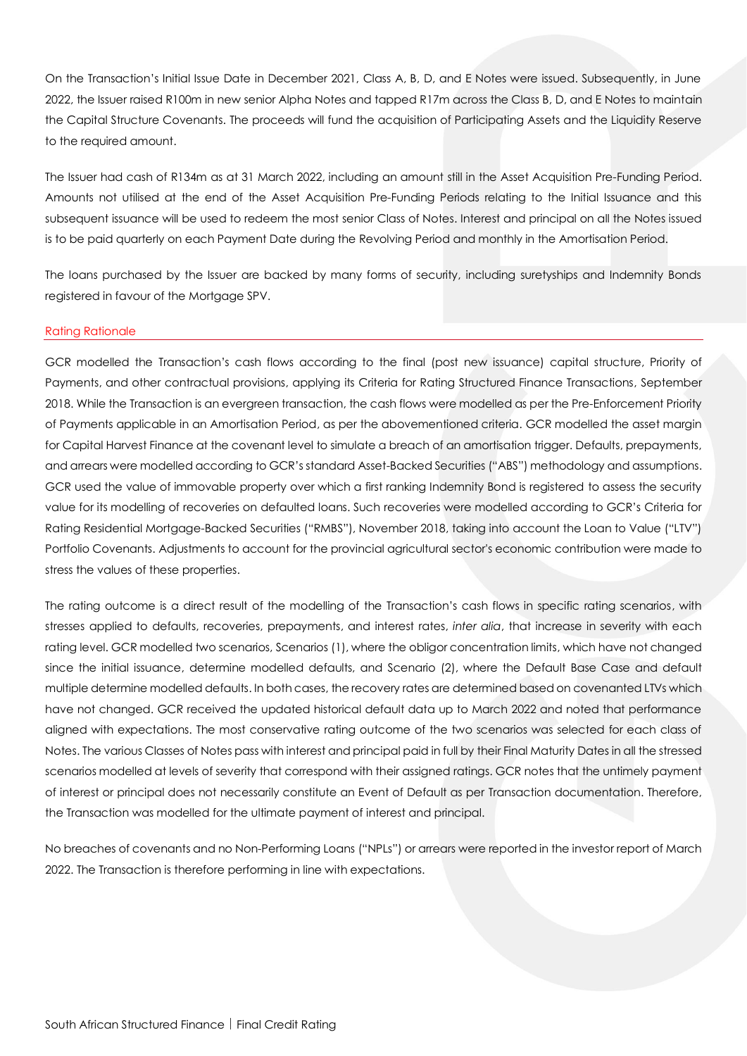On the Transaction's Initial Issue Date in December 2021, Class A, B, D, and E Notes were issued. Subsequently, in June 2022, the Issuer raised R100m in new senior Alpha Notes and tapped R17m across the Class B, D, and E Notes to maintain the Capital Structure Covenants. The proceeds will fund the acquisition of Participating Assets and the Liquidity Reserve to the required amount.

The Issuer had cash of R134m as at 31 March 2022, including an amount still in the Asset Acquisition Pre-Funding Period. Amounts not utilised at the end of the Asset Acquisition Pre-Funding Periods relating to the Initial Issuance and this subsequent issuance will be used to redeem the most senior Class of Notes. Interest and principal on all the Notes issued is to be paid quarterly on each Payment Date during the Revolving Period and monthly in the Amortisation Period.

The loans purchased by the Issuer are backed by many forms of security, including suretyships and Indemnity Bonds registered in favour of the Mortgage SPV.

# Rating Rationale

GCR modelled the Transaction's cash flows according to the final (post new issuance) capital structure, Priority of Payments, and other contractual provisions, applying its Criteria for Rating Structured Finance Transactions, September 2018. While the Transaction is an evergreen transaction, the cash flows were modelled as per the Pre-Enforcement Priority of Payments applicable in an Amortisation Period, as per the abovementioned criteria. GCR modelled the asset margin for Capital Harvest Finance at the covenant level to simulate a breach of an amortisation trigger. Defaults, prepayments, and arrears were modelled according to GCR's standard Asset-Backed Securities ("ABS") methodology and assumptions. GCR used the value of immovable property over which a first ranking Indemnity Bond is registered to assess the security value for its modelling of recoveries on defaulted loans. Such recoveries were modelled according to GCR's Criteria for Rating Residential Mortgage-Backed Securities ("RMBS"), November 2018, taking into account the Loan to Value ("LTV") Portfolio Covenants. Adjustments to account for the provincial agricultural sector's economic contribution were made to stress the values of these properties.

The rating outcome is a direct result of the modelling of the Transaction's cash flows in specific rating scenarios, with stresses applied to defaults, recoveries, prepayments, and interest rates, *inter alia*, that increase in severity with each rating level. GCR modelled two scenarios, Scenarios (1), where the obligor concentration limits, which have not changed since the initial issuance, determine modelled defaults, and Scenario (2), where the Default Base Case and default multiple determine modelled defaults. In both cases, the recovery rates are determined based on covenanted LTVs which have not changed. GCR received the updated historical default data up to March 2022 and noted that performance aligned with expectations. The most conservative rating outcome of the two scenarios was selected for each class of Notes. The various Classes of Notes pass with interest and principal paid in full by their Final Maturity Dates in all the stressed scenarios modelled at levels of severity that correspond with their assigned ratings. GCR notes that the untimely payment of interest or principal does not necessarily constitute an Event of Default as per Transaction documentation. Therefore, the Transaction was modelled for the ultimate payment of interest and principal.

No breaches of covenants and no Non-Performing Loans ("NPLs") or arrears were reported in the investor report of March 2022. The Transaction is therefore performing in line with expectations.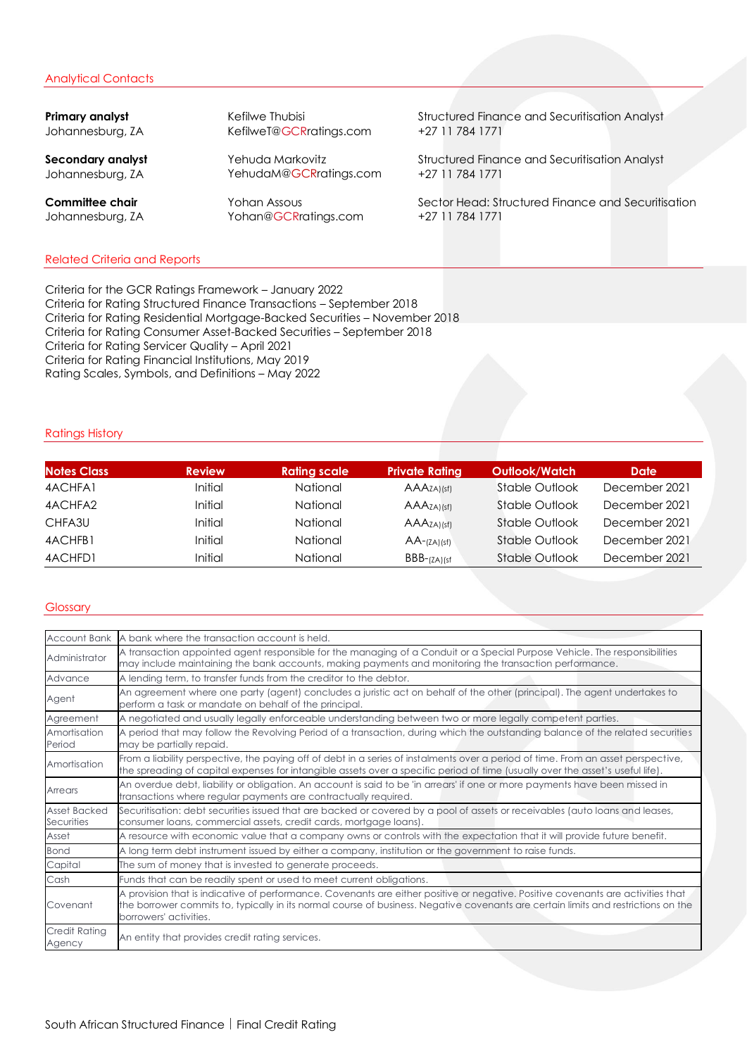## Analytical Contacts

Johannesburg, ZA KefilweT@GCRratings.com +27 11 784 1771

Johannesburg, ZA YehudaM@GCRratings.com +27 11 784 1771

Johannesburg, ZA [Yohan@GCRratings.com](mailto:Yohan@GCRratings.com) +27 11 784 1771

**Primary analyst** Kefilwe Thubisi Structured Finance and Securitisation Analyst

**Secondary analyst** Tehuda Markovitz Structured Finance and Securitisation Analyst

**Committee chair** Tohan Assous Sector Head: Structured Finance and Securitisation

## Related Criteria and Reports

Criteria for the GCR Ratings Framework – January 2022 Criteria for Rating Structured Finance Transactions – September 2018 Criteria for Rating Residential Mortgage-Backed Securities – November 2018 Criteria for Rating Consumer Asset-Backed Securities – September 2018 Criteria for Rating Servicer Quality – April 2021 Criteria for Rating Financial Institutions, May 2019 Rating Scales, Symbols, and Definitions – May 2022

# Ratings History

| <b>Notes Class</b> | <b>Review</b> | <b>Rating scale</b> | <b>Private Rating</b>       | <b>Outlook/Watch</b> | Date          |
|--------------------|---------------|---------------------|-----------------------------|----------------------|---------------|
| 4ACHFA1            | Initial       | National            | $AAA$ <sub>ZA</sub> )(sf)   | Stable Outlook       | December 2021 |
| 4ACHFA2            | Initial       | National            | $AAA$ <sub>ZA)</sub> $(sf)$ | Stable Outlook       | December 2021 |
| CHFA3U             | Initial       | National            | $AAA$ <sub>ZA</sub> ) (sf)  | Stable Outlook       | December 2021 |
| 4ACHFB1            | Initial       | National            | $AA$ - $(ZA)(sf)$           | Stable Outlook       | December 2021 |
| 4ACHFD1            | Initial       | National            | $BBB-(ZA)(sf)$              | Stable Outlook       | December 2021 |

#### **Glossary**

| <b>Account Bank</b>               | A bank where the transaction account is held.                                                                                                                                                                                                                                                    |
|-----------------------------------|--------------------------------------------------------------------------------------------------------------------------------------------------------------------------------------------------------------------------------------------------------------------------------------------------|
| Administrator                     | A transaction appointed agent responsible for the managing of a Conduit or a Special Purpose Vehicle. The responsibilities<br>may include maintaining the bank accounts, making payments and monitoring the transaction performance.                                                             |
| Advance                           | A lending term, to transfer funds from the creditor to the debtor.                                                                                                                                                                                                                               |
| Agent                             | An agreement where one party (agent) concludes a juristic act on behalf of the other (principal). The agent undertakes to<br>perform a task or mandate on behalf of the principal.                                                                                                               |
| Agreement                         | A negotiated and usually legally enforceable understanding between two or more legally competent parties.                                                                                                                                                                                        |
| Amortisation<br>Period            | A period that may follow the Revolving Period of a transaction, during which the outstanding balance of the related securities<br>may be partially repaid.                                                                                                                                       |
| Amortisation                      | From a liability perspective, the paying off of debt in a series of instalments over a period of time. From an asset perspective,<br>the spreading of capital expenses for intangible assets over a specific period of time (usually over the asset's useful life).                              |
| Arrears                           | An overdue debt, liability or obligation. An account is said to be 'in arrears' if one or more payments have been missed in<br>transactions where regular payments are contractually required.                                                                                                   |
| <b>Asset Backed</b><br>Securities | Securitisation: debt securities issued that are backed or covered by a pool of assets or receivables (auto loans and leases,<br>consumer loans, commercial assets, credit cards, mortgage loans).                                                                                                |
| Asset                             | A resource with economic value that a company owns or controls with the expectation that it will provide future benefit.                                                                                                                                                                         |
| Bond                              | A long term debt instrument issued by either a company, institution or the government to raise funds.                                                                                                                                                                                            |
| Capital                           | The sum of money that is invested to generate proceeds.                                                                                                                                                                                                                                          |
| Cash                              | Funds that can be readily spent or used to meet current obligations.                                                                                                                                                                                                                             |
| Covenant                          | A provision that is indicative of performance. Covenants are either positive or negative. Positive covenants are activities that<br>the borrower commits to, typically in its normal course of business. Negative covenants are certain limits and restrictions on the<br>borrowers' activities. |
| Credit Ratina<br>Agency           | An entity that provides credit rating services.                                                                                                                                                                                                                                                  |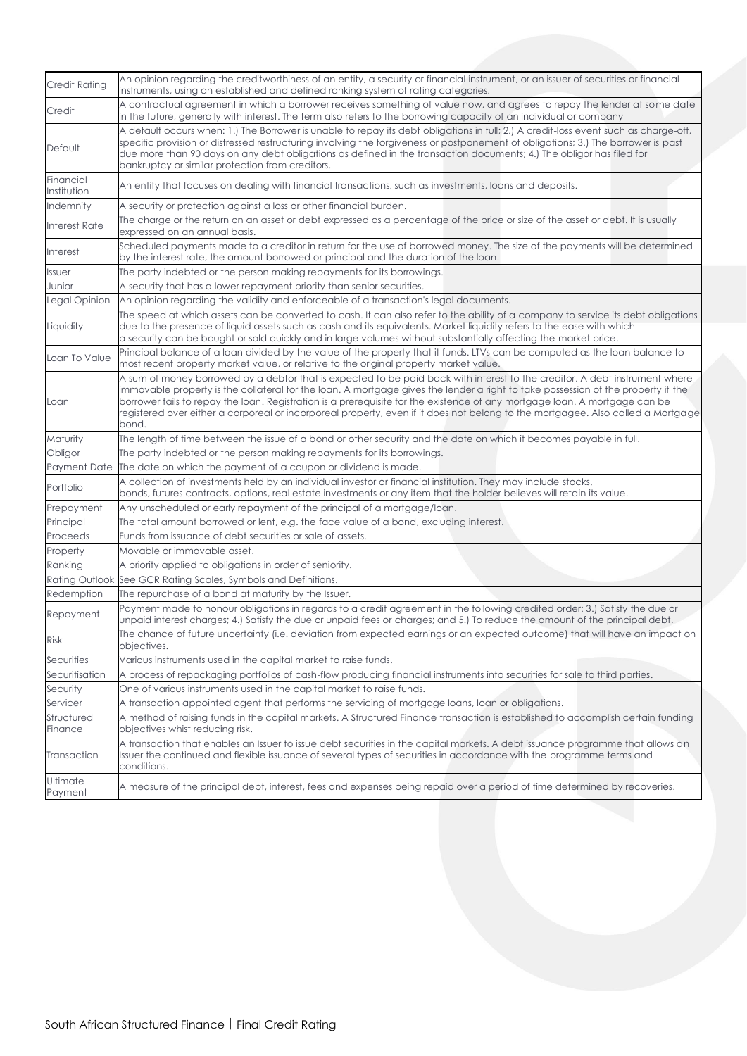| Credit Rating            | An opinion regarding the creditworthiness of an entity, a security or financial instrument, or an issuer of securities or financial<br>instruments, using an established and defined ranking system of rating categories.                                                                                                                                                                                                                                                                                                                 |
|--------------------------|-------------------------------------------------------------------------------------------------------------------------------------------------------------------------------------------------------------------------------------------------------------------------------------------------------------------------------------------------------------------------------------------------------------------------------------------------------------------------------------------------------------------------------------------|
| Credit                   | A contractual agreement in which a borrower receives something of value now, and agrees to repay the lender at some date<br>in the future, generally with interest. The term also refers to the borrowing capacity of an individual or company                                                                                                                                                                                                                                                                                            |
| Default                  | A default occurs when: 1.) The Borrower is unable to repay its debt obligations in full; 2.) A credit-loss event such as charge-off,<br>specific provision or distressed restructuring involving the forgiveness or postponement of obligations; 3.) The borrower is past<br>due more than 90 days on any debt obligations as defined in the transaction documents; 4.) The obligor has filed for<br>bankruptcy or similar protection from creditors.                                                                                     |
| Financial<br>Institution | An entity that focuses on dealing with financial transactions, such as investments, loans and deposits.                                                                                                                                                                                                                                                                                                                                                                                                                                   |
| Indemnity                | A security or protection against a loss or other financial burden.                                                                                                                                                                                                                                                                                                                                                                                                                                                                        |
| <b>Interest Rate</b>     | The charge or the return on an asset or debt expressed as a percentage of the price or size of the asset or debt. It is usually<br>expressed on an annual basis.                                                                                                                                                                                                                                                                                                                                                                          |
| Interest                 | Scheduled payments made to a creditor in return for the use of borrowed money. The size of the payments will be determined<br>by the interest rate, the amount borrowed or principal and the duration of the loan.                                                                                                                                                                                                                                                                                                                        |
| <b>Issuer</b>            | The party indebted or the person making repayments for its borrowings.                                                                                                                                                                                                                                                                                                                                                                                                                                                                    |
| Junior                   | A security that has a lower repayment priority than senior securities.                                                                                                                                                                                                                                                                                                                                                                                                                                                                    |
| Legal Opinion            | An opinion regarding the validity and enforceable of a transaction's legal documents.                                                                                                                                                                                                                                                                                                                                                                                                                                                     |
| Liquidity                | The speed at which assets can be converted to cash. It can also refer to the ability of a company to service its debt obligations<br>due to the presence of liquid assets such as cash and its equivalents. Market liquidity refers to the ease with which<br>a security can be bought or sold quickly and in large volumes without substantially affecting the market price.                                                                                                                                                             |
| Loan To Value            | Principal balance of a loan divided by the value of the property that it funds. LTVs can be computed as the loan balance to<br>most recent property market value, or relative to the original property market value.                                                                                                                                                                                                                                                                                                                      |
| Loan                     | A sum of money borrowed by a debtor that is expected to be paid back with interest to the creditor. A debt instrument where<br>immovable property is the collateral for the loan. A mortgage gives the lender a right to take possession of the property if the<br>borrower fails to repay the loan. Registration is a prerequisite for the existence of any mortgage loan. A mortgage can be<br>registered over either a corporeal or incorporeal property, even if it does not belong to the mortgagee. Also called a Mortgage<br>bond. |
| Maturity                 | The length of time between the issue of a bond or other security and the date on which it becomes payable in full.                                                                                                                                                                                                                                                                                                                                                                                                                        |
| Obligor                  | The party indebted or the person making repayments for its borrowings.                                                                                                                                                                                                                                                                                                                                                                                                                                                                    |
| Payment Date             | The date on which the payment of a coupon or dividend is made.                                                                                                                                                                                                                                                                                                                                                                                                                                                                            |
| Portfolio                | A collection of investments held by an individual investor or financial institution. They may include stocks,<br>bonds, futures contracts, options, real estate investments or any item that the holder believes will retain its value.                                                                                                                                                                                                                                                                                                   |
| Prepayment               | Any unscheduled or early repayment of the principal of a mortgage/loan.                                                                                                                                                                                                                                                                                                                                                                                                                                                                   |
| Principal                | The total amount borrowed or lent, e.g. the face value of a bond, excluding interest.                                                                                                                                                                                                                                                                                                                                                                                                                                                     |
| Proceeds                 | Funds from issuance of debt securities or sale of assets.                                                                                                                                                                                                                                                                                                                                                                                                                                                                                 |
| Property                 | Movable or immovable asset.                                                                                                                                                                                                                                                                                                                                                                                                                                                                                                               |
| Ranking                  | A priority applied to obligations in order of seniority.                                                                                                                                                                                                                                                                                                                                                                                                                                                                                  |
|                          | Rating Outlook See GCR Rating Scales, Symbols and Definitions.                                                                                                                                                                                                                                                                                                                                                                                                                                                                            |
| Redemption               | The repurchase of a bond at maturity by the Issuer.                                                                                                                                                                                                                                                                                                                                                                                                                                                                                       |
| Repayment                | Payment made to honour obligations in regards to a credit agreement in the following credited order: 3.) Satisfy the due or<br>unpaid interest charges; 4.) Satisfy the due or unpaid fees or charges; and 5.) To reduce the amount of the principal debt.                                                                                                                                                                                                                                                                                |
| <b>Risk</b>              | The chance of future uncertainty (i.e. deviation from expected earnings or an expected outcome) that will have an impact on<br>objectives.                                                                                                                                                                                                                                                                                                                                                                                                |
| Securities               | Various instruments used in the capital market to raise funds.                                                                                                                                                                                                                                                                                                                                                                                                                                                                            |
| Securitisation           | A process of repackaging portfolios of cash-flow producing financial instruments into securities for sale to third parties.                                                                                                                                                                                                                                                                                                                                                                                                               |
| Security                 | One of various instruments used in the capital market to raise funds.                                                                                                                                                                                                                                                                                                                                                                                                                                                                     |
| Servicer                 | A transaction appointed agent that performs the servicing of mortgage loans, loan or obligations.                                                                                                                                                                                                                                                                                                                                                                                                                                         |
| Structured<br>Finance    | A method of raising funds in the capital markets. A Structured Finance transaction is established to accomplish certain funding<br>objectives whist reducing risk.                                                                                                                                                                                                                                                                                                                                                                        |
| Transaction              | A transaction that enables an Issuer to issue debt securities in the capital markets. A debt issuance programme that allows an<br>Issuer the continued and flexible issuance of several types of securities in accordance with the programme terms and<br>conditions.                                                                                                                                                                                                                                                                     |
| Ultimate<br>Payment      | A measure of the principal debt, interest, fees and expenses being repaid over a period of time determined by recoveries.                                                                                                                                                                                                                                                                                                                                                                                                                 |